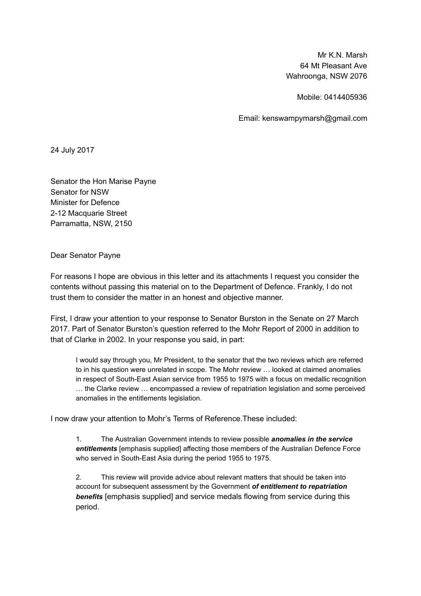Mr K.N. Marsh 64 Mt Pleasant Ave Wahroonga, NSW 2076

Mobile: 0414405936

Email: kenswampymarsh@gmail.com

24 July 2017

Senator the Hon Marise Payne Senator for NSW Minister for Defence 2-12 Macquarie Street Parramatta, NSW, 2150

Dear Senator Payne

For reasons I hope are obvious in this letter and its attachments I request you consider the contents without passing this material on to the Department of Defence. Frankly, I do not trust them to consider the matter in an honest and objective manner.

First, I draw your attention to your response to Senator Burston in the Senate on 27 March 2017. Part of Senator Burston's question referred to the Mohr Report of 2000 in addition to that of Clarke in 2002. In your response you said, in part:

I would say through you, Mr President, to the senator that the two reviews which are referred to in his question were unrelated in scope. The Mohr review … looked at claimed anomalies in respect of South-East Asian service from 1955 to 1975 with a focus on medallic recognition … the Clarke review … encompassed a review of repatriation legislation and some perceived anomalies in the entitlements legislation.

I now draw your attention to Mohr's Terms of Reference.These included:

1. The Australian Government intends to review possible *anomalies in the service* entitlements [emphasis supplied] affecting those members of the Australian Defence Force who served in South-East Asia during the period 1955 to 1975.

2. This review will provide advice about relevant matters that should be taken into account for subsequent assessment by the Government of entitlement to repatriation **benefits** [emphasis supplied] and service medals flowing from service during this period.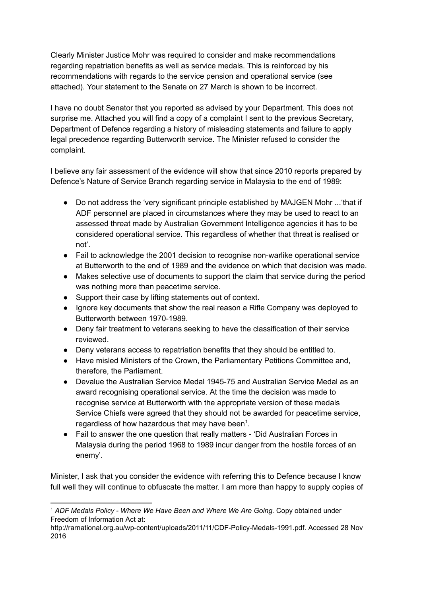Clearly Minister Justice Mohr was required to consider and make recommendations regarding repatriation benefits as well as service medals. This is reinforced by his recommendations with regards to the service pension and operational service (see attached). Your statement to the Senate on 27 March is shown to be incorrect.

I have no doubt Senator that you reported as advised by your Department. This does not surprise me. Attached you will find a copy of a complaint I sent to the previous Secretary, Department of Defence regarding a history of misleading statements and failure to apply legal precedence regarding Butterworth service. The Minister refused to consider the complaint.

I believe any fair assessment of the evidence will show that since 2010 reports prepared by Defence's Nature of Service Branch regarding service in Malaysia to the end of 1989:

- Do not address the 'very significant principle established by MAJGEN Mohr ...'that if ADF personnel are placed in circumstances where they may be used to react to an assessed threat made by Australian Government Intelligence agencies it has to be considered operational service. This regardless of whether that threat is realised or not'.
- Fail to acknowledge the 2001 decision to recognise non-warlike operational service at Butterworth to the end of 1989 and the evidence on which that decision was made.
- Makes selective use of documents to support the claim that service during the period was nothing more than peacetime service.
- Support their case by lifting statements out of context.
- Ignore key documents that show the real reason a Rifle Company was deployed to Butterworth between 1970-1989.
- Deny fair treatment to veterans seeking to have the classification of their service reviewed.
- Deny veterans access to repatriation benefits that they should be entitled to.
- Have misled Ministers of the Crown, the Parliamentary Petitions Committee and, therefore, the Parliament.
- Devalue the Australian Service Medal 1945-75 and Australian Service Medal as an award recognising operational service. At the time the decision was made to recognise service at Butterworth with the appropriate version of these medals Service Chiefs were agreed that they should not be awarded for peacetime service, regardless of how hazardous that may have been $^1$ .
- Fail to answer the one question that really matters 'Did Australian Forces in Malaysia during the period 1968 to 1989 incur danger from the hostile forces of an enemy'.

Minister, I ask that you consider the evidence with referring this to Defence because I know full well they will continue to obfuscate the matter. I am more than happy to supply copies of

<sup>&</sup>lt;sup>1</sup> ADF Medals Policy - Where We Have Been and Where We Are Going. Copy obtained under Freedom of Information Act at:

http://rarnational.org.au/wp-content/uploads/2011/11/CDF-Policy-Medals-1991.pdf. Accessed 28 Nov 2016